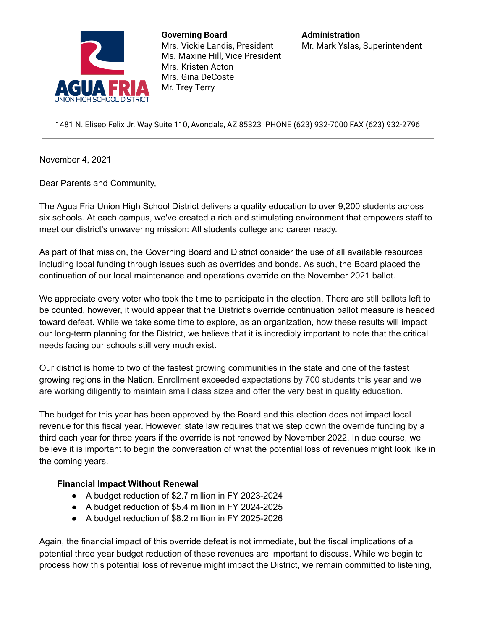

**Governing Board** Mrs. Vickie Landis, President Ms. Maxine Hill, Vice President Mrs. Kristen Acton Mrs. Gina DeCoste Mr. Trey Terry

1481 N. Eliseo Felix Jr. Way Suite 110, Avondale, AZ 85323 PHONE (623) 932-7000 FAX (623) 932-2796

November 4, 2021

Dear Parents and Community,

The Agua Fria Union High School District delivers a quality education to over 9,200 students across six schools. At each campus, we've created a rich and stimulating environment that empowers staff to meet our district's unwavering mission: All students college and career ready.

As part of that mission, the Governing Board and District consider the use of all available resources including local funding through issues such as overrides and bonds. As such, the Board placed the continuation of our local maintenance and operations override on the November 2021 ballot.

We appreciate every voter who took the time to participate in the election. There are still ballots left to be counted, however, it would appear that the District's override continuation ballot measure is headed toward defeat. While we take some time to explore, as an organization, how these results will impact our long-term planning for the District, we believe that it is incredibly important to note that the critical needs facing our schools still very much exist.

Our district is home to two of the fastest growing communities in the state and one of the fastest growing regions in the Nation. Enrollment exceeded expectations by 700 students this year and we are working diligently to maintain small class sizes and offer the very best in quality education.

The budget for this year has been approved by the Board and this election does not impact local revenue for this fiscal year. However, state law requires that we step down the override funding by a third each year for three years if the override is not renewed by November 2022. In due course, we believe it is important to begin the conversation of what the potential loss of revenues might look like in the coming years.

## **Financial Impact Without Renewal**

- A budget reduction of \$2.7 million in FY 2023-2024
- A budget reduction of \$5.4 million in FY 2024-2025
- A budget reduction of \$8.2 million in FY 2025-2026

Again, the financial impact of this override defeat is not immediate, but the fiscal implications of a potential three year budget reduction of these revenues are important to discuss. While we begin to process how this potential loss of revenue might impact the District, we remain committed to listening,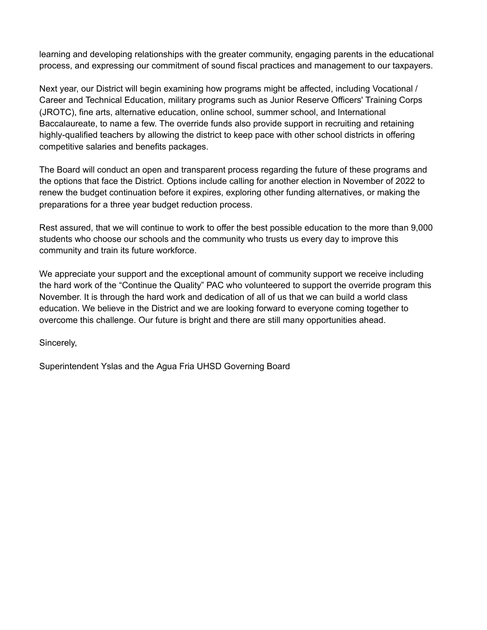learning and developing relationships with the greater community, engaging parents in the educational process, and expressing our commitment of sound fiscal practices and management to our taxpayers.

Next year, our District will begin examining how programs might be affected, including Vocational / Career and Technical Education, military programs such as Junior Reserve Officers' Training Corps (JROTC), fine arts, alternative education, online school, summer school, and International Baccalaureate, to name a few. The override funds also provide support in recruiting and retaining highly-qualified teachers by allowing the district to keep pace with other school districts in offering competitive salaries and benefits packages.

The Board will conduct an open and transparent process regarding the future of these programs and the options that face the District. Options include calling for another election in November of 2022 to renew the budget continuation before it expires, exploring other funding alternatives, or making the preparations for a three year budget reduction process.

Rest assured, that we will continue to work to offer the best possible education to the more than 9,000 students who choose our schools and the community who trusts us every day to improve this community and train its future workforce.

We appreciate your support and the exceptional amount of community support we receive including the hard work of the "Continue the Quality" PAC who volunteered to support the override program this November. It is through the hard work and dedication of all of us that we can build a world class education. We believe in the District and we are looking forward to everyone coming together to overcome this challenge. Our future is bright and there are still many opportunities ahead.

Sincerely,

Superintendent Yslas and the Agua Fria UHSD Governing Board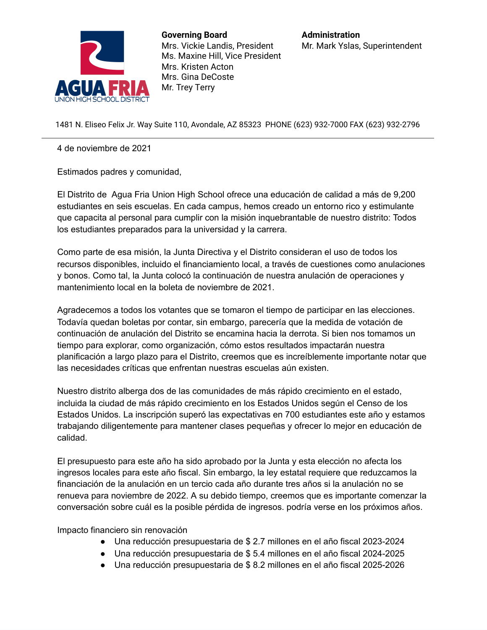

**Governing Board** Mrs. Vickie Landis, President Ms. Maxine Hill, Vice President Mrs. Kristen Acton Mrs. Gina DeCoste Mr. Trey Terry

1481 N. Eliseo Felix Jr. Way Suite 110, Avondale, AZ 85323 PHONE (623) 932-7000 FAX (623) 932-2796

4 de noviembre de 2021

Estimados padres y comunidad,

El Distrito de Agua Fria Union High School ofrece una educación de calidad a más de 9,200 estudiantes en seis escuelas. En cada campus, hemos creado un entorno rico y estimulante que capacita al personal para cumplir con la misión inquebrantable de nuestro distrito: Todos los estudiantes preparados para la universidad y la carrera.

Como parte de esa misión, la Junta Directiva y el Distrito consideran el uso de todos los recursos disponibles, incluido el financiamiento local, a través de cuestiones como anulaciones y bonos. Como tal, la Junta colocó la continuación de nuestra anulación de operaciones y mantenimiento local en la boleta de noviembre de 2021.

Agradecemos a todos los votantes que se tomaron el tiempo de participar en las elecciones. Todavía quedan boletas por contar, sin embargo, parecería que la medida de votación de continuación de anulación del Distrito se encamina hacia la derrota. Si bien nos tomamos un tiempo para explorar, como organización, cómo estos resultados impactarán nuestra planificación a largo plazo para el Distrito, creemos que es increíblemente importante notar que las necesidades críticas que enfrentan nuestras escuelas aún existen.

Nuestro distrito alberga dos de las comunidades de más rápido crecimiento en el estado, incluida la ciudad de más rápido crecimiento en los Estados Unidos según el Censo de los Estados Unidos. La inscripción superó las expectativas en 700 estudiantes este año y estamos trabajando diligentemente para mantener clases pequeñas y ofrecer lo mejor en educación de calidad.

El presupuesto para este año ha sido aprobado por la Junta y esta elección no afecta los ingresos locales para este año fiscal. Sin embargo, la ley estatal requiere que reduzcamos la financiación de la anulación en un tercio cada año durante tres años si la anulación no se renueva para noviembre de 2022. A su debido tiempo, creemos que es importante comenzar la conversación sobre cuál es la posible pérdida de ingresos. podría verse en los próximos años.

Impacto financiero sin renovación

- Una reducción presupuestaria de \$ 2.7 millones en el año fiscal 2023-2024
- Una reducción presupuestaria de \$ 5.4 millones en el año fiscal 2024-2025
- Una reducción presupuestaria de \$ 8.2 millones en el año fiscal 2025-2026